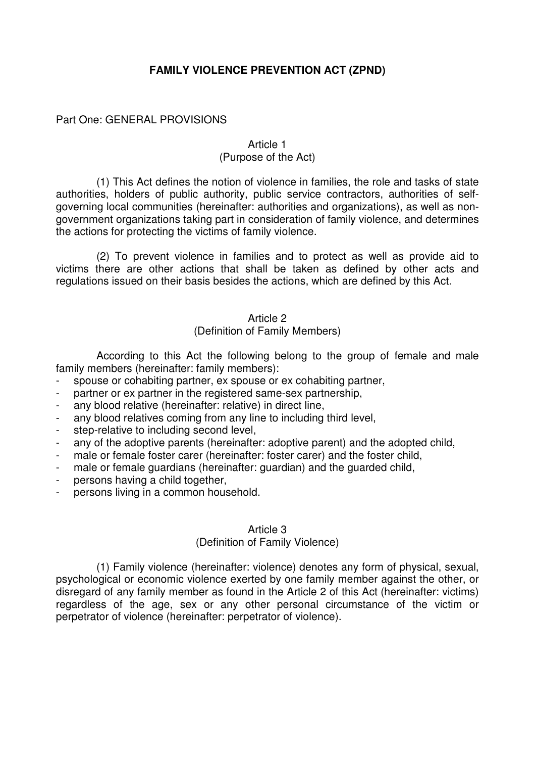## **FAMILY VIOLENCE PREVENTION ACT (ZPND)**

Part One: GENERAL PROVISIONS

## Article 1 (Purpose of the Act)

 (1) This Act defines the notion of violence in families, the role and tasks of state authorities, holders of public authority, public service contractors, authorities of selfgoverning local communities (hereinafter: authorities and organizations), as well as nongovernment organizations taking part in consideration of family violence, and determines the actions for protecting the victims of family violence.

 (2) To prevent violence in families and to protect as well as provide aid to victims there are other actions that shall be taken as defined by other acts and regulations issued on their basis besides the actions, which are defined by this Act.

## Article 2 (Definition of Family Members)

 According to this Act the following belong to the group of female and male family members (hereinafter: family members):

- spouse or cohabiting partner, ex spouse or ex cohabiting partner,
- partner or ex partner in the registered same-sex partnership,
- any blood relative (hereinafter: relative) in direct line,
- any blood relatives coming from any line to including third level,
- step-relative to including second level,
- any of the adoptive parents (hereinafter: adoptive parent) and the adopted child,
- male or female foster carer (hereinafter: foster carer) and the foster child,
- male or female guardians (hereinafter: guardian) and the guarded child,
- persons having a child together,
- persons living in a common household.

#### Article 3

## (Definition of Family Violence)

 (1) Family violence (hereinafter: violence) denotes any form of physical, sexual, psychological or economic violence exerted by one family member against the other, or disregard of any family member as found in the Article 2 of this Act (hereinafter: victims) regardless of the age, sex or any other personal circumstance of the victim or perpetrator of violence (hereinafter: perpetrator of violence).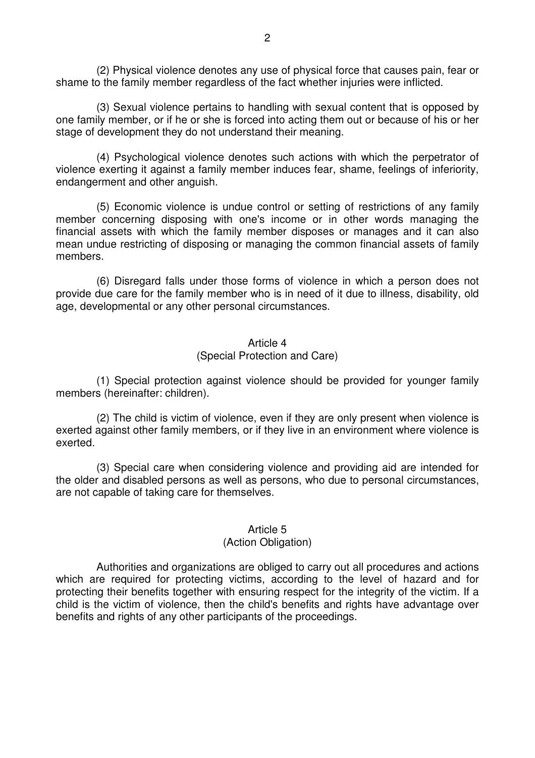(2) Physical violence denotes any use of physical force that causes pain, fear or shame to the family member regardless of the fact whether injuries were inflicted.

 (3) Sexual violence pertains to handling with sexual content that is opposed by one family member, or if he or she is forced into acting them out or because of his or her stage of development they do not understand their meaning.

 (4) Psychological violence denotes such actions with which the perpetrator of violence exerting it against a family member induces fear, shame, feelings of inferiority, endangerment and other anguish.

 (5) Economic violence is undue control or setting of restrictions of any family member concerning disposing with one's income or in other words managing the financial assets with which the family member disposes or manages and it can also mean undue restricting of disposing or managing the common financial assets of family members.

 (6) Disregard falls under those forms of violence in which a person does not provide due care for the family member who is in need of it due to illness, disability, old age, developmental or any other personal circumstances.

#### Article 4

#### (Special Protection and Care)

 (1) Special protection against violence should be provided for younger family members (hereinafter: children).

 (2) The child is victim of violence, even if they are only present when violence is exerted against other family members, or if they live in an environment where violence is exerted.

 (3) Special care when considering violence and providing aid are intended for the older and disabled persons as well as persons, who due to personal circumstances, are not capable of taking care for themselves.

#### Article 5

#### (Action Obligation)

 Authorities and organizations are obliged to carry out all procedures and actions which are required for protecting victims, according to the level of hazard and for protecting their benefits together with ensuring respect for the integrity of the victim. If a child is the victim of violence, then the child's benefits and rights have advantage over benefits and rights of any other participants of the proceedings.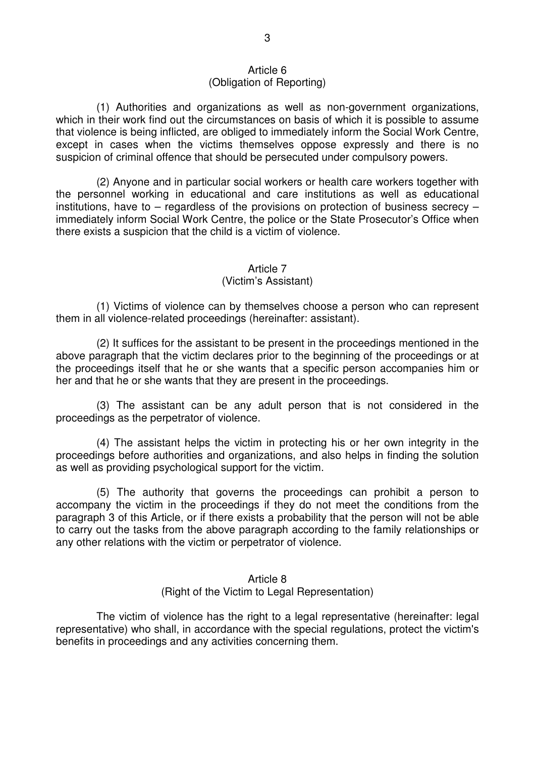#### Article 6 (Obligation of Reporting)

 (1) Authorities and organizations as well as non-government organizations, which in their work find out the circumstances on basis of which it is possible to assume that violence is being inflicted, are obliged to immediately inform the Social Work Centre, except in cases when the victims themselves oppose expressly and there is no suspicion of criminal offence that should be persecuted under compulsory powers.

 (2) Anyone and in particular social workers or health care workers together with the personnel working in educational and care institutions as well as educational institutions, have to – regardless of the provisions on protection of business secrecy – immediately inform Social Work Centre, the police or the State Prosecutor's Office when there exists a suspicion that the child is a victim of violence.

# Article 7

## (Victim's Assistant)

 (1) Victims of violence can by themselves choose a person who can represent them in all violence-related proceedings (hereinafter: assistant).

 (2) It suffices for the assistant to be present in the proceedings mentioned in the above paragraph that the victim declares prior to the beginning of the proceedings or at the proceedings itself that he or she wants that a specific person accompanies him or her and that he or she wants that they are present in the proceedings.

 (3) The assistant can be any adult person that is not considered in the proceedings as the perpetrator of violence.

 (4) The assistant helps the victim in protecting his or her own integrity in the proceedings before authorities and organizations, and also helps in finding the solution as well as providing psychological support for the victim.

 (5) The authority that governs the proceedings can prohibit a person to accompany the victim in the proceedings if they do not meet the conditions from the paragraph 3 of this Article, or if there exists a probability that the person will not be able to carry out the tasks from the above paragraph according to the family relationships or any other relations with the victim or perpetrator of violence.

## Article 8 (Right of the Victim to Legal Representation)

 The victim of violence has the right to a legal representative (hereinafter: legal representative) who shall, in accordance with the special regulations, protect the victim's benefits in proceedings and any activities concerning them.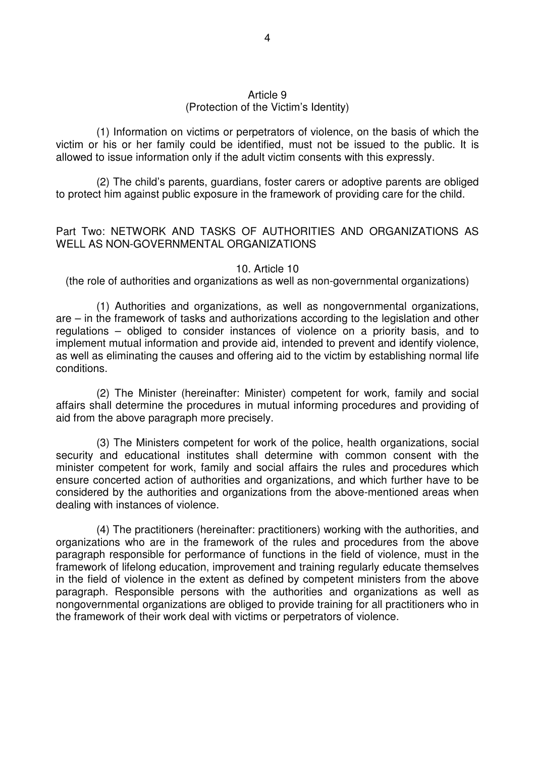### Article 9 (Protection of the Victim's Identity)

 (1) Information on victims or perpetrators of violence, on the basis of which the victim or his or her family could be identified, must not be issued to the public. It is allowed to issue information only if the adult victim consents with this expressly.

 (2) The child's parents, guardians, foster carers or adoptive parents are obliged to protect him against public exposure in the framework of providing care for the child.

## Part Two: NETWORK AND TASKS OF AUTHORITIES AND ORGANIZATIONS AS WELL AS NON-GOVERNMENTAL ORGANIZATIONS

#### 10. Article 10

(the role of authorities and organizations as well as non-governmental organizations)

 (1) Authorities and organizations, as well as nongovernmental organizations, are – in the framework of tasks and authorizations according to the legislation and other regulations – obliged to consider instances of violence on a priority basis, and to implement mutual information and provide aid, intended to prevent and identify violence, as well as eliminating the causes and offering aid to the victim by establishing normal life conditions.

 (2) The Minister (hereinafter: Minister) competent for work, family and social affairs shall determine the procedures in mutual informing procedures and providing of aid from the above paragraph more precisely.

 (3) The Ministers competent for work of the police, health organizations, social security and educational institutes shall determine with common consent with the minister competent for work, family and social affairs the rules and procedures which ensure concerted action of authorities and organizations, and which further have to be considered by the authorities and organizations from the above-mentioned areas when dealing with instances of violence.

 (4) The practitioners (hereinafter: practitioners) working with the authorities, and organizations who are in the framework of the rules and procedures from the above paragraph responsible for performance of functions in the field of violence, must in the framework of lifelong education, improvement and training regularly educate themselves in the field of violence in the extent as defined by competent ministers from the above paragraph. Responsible persons with the authorities and organizations as well as nongovernmental organizations are obliged to provide training for all practitioners who in the framework of their work deal with victims or perpetrators of violence.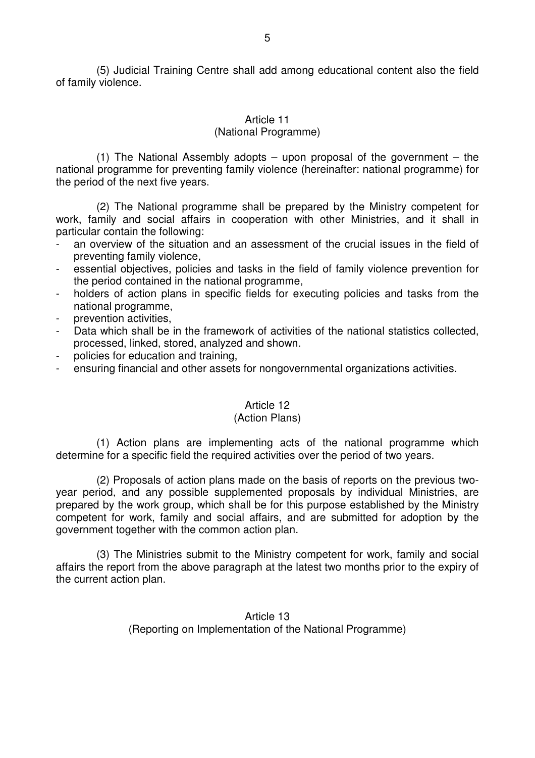(5) Judicial Training Centre shall add among educational content also the field of family violence.

### Article 11

#### (National Programme)

(1) The National Assembly adopts  $-$  upon proposal of the government  $-$  the national programme for preventing family violence (hereinafter: national programme) for the period of the next five years.

 (2) The National programme shall be prepared by the Ministry competent for work, family and social affairs in cooperation with other Ministries, and it shall in particular contain the following:

- an overview of the situation and an assessment of the crucial issues in the field of preventing family violence,
- essential objectives, policies and tasks in the field of family violence prevention for the period contained in the national programme,
- holders of action plans in specific fields for executing policies and tasks from the national programme,
- prevention activities.
- Data which shall be in the framework of activities of the national statistics collected, processed, linked, stored, analyzed and shown.
- policies for education and training,
- ensuring financial and other assets for nongovernmental organizations activities.

#### Article 12

#### (Action Plans)

 (1) Action plans are implementing acts of the national programme which determine for a specific field the required activities over the period of two years.

 (2) Proposals of action plans made on the basis of reports on the previous twoyear period, and any possible supplemented proposals by individual Ministries, are prepared by the work group, which shall be for this purpose established by the Ministry competent for work, family and social affairs, and are submitted for adoption by the government together with the common action plan.

 (3) The Ministries submit to the Ministry competent for work, family and social affairs the report from the above paragraph at the latest two months prior to the expiry of the current action plan.

> Article 13 (Reporting on Implementation of the National Programme)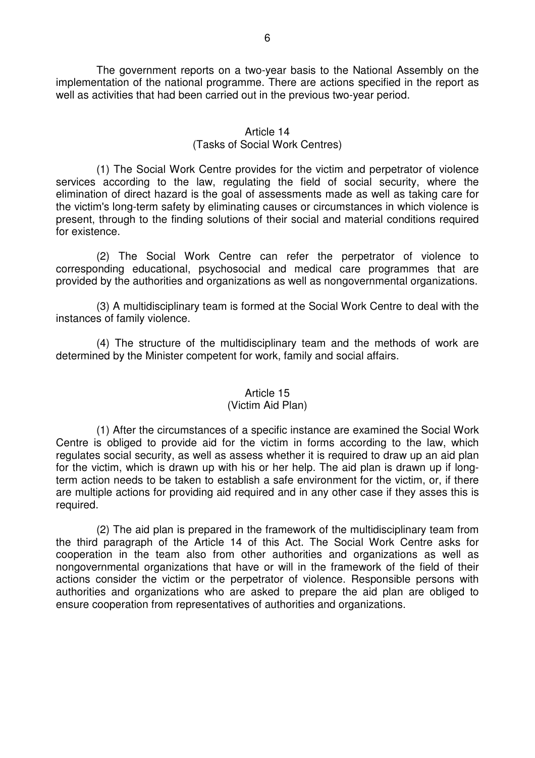The government reports on a two-year basis to the National Assembly on the implementation of the national programme. There are actions specified in the report as well as activities that had been carried out in the previous two-year period.

## Article 14 (Tasks of Social Work Centres)

 (1) The Social Work Centre provides for the victim and perpetrator of violence services according to the law, regulating the field of social security, where the elimination of direct hazard is the goal of assessments made as well as taking care for the victim's long-term safety by eliminating causes or circumstances in which violence is present, through to the finding solutions of their social and material conditions required for existence.

 (2) The Social Work Centre can refer the perpetrator of violence to corresponding educational, psychosocial and medical care programmes that are provided by the authorities and organizations as well as nongovernmental organizations.

 (3) A multidisciplinary team is formed at the Social Work Centre to deal with the instances of family violence.

 (4) The structure of the multidisciplinary team and the methods of work are determined by the Minister competent for work, family and social affairs.

## Article 15

## (Victim Aid Plan)

 (1) After the circumstances of a specific instance are examined the Social Work Centre is obliged to provide aid for the victim in forms according to the law, which regulates social security, as well as assess whether it is required to draw up an aid plan for the victim, which is drawn up with his or her help. The aid plan is drawn up if longterm action needs to be taken to establish a safe environment for the victim, or, if there are multiple actions for providing aid required and in any other case if they asses this is required.

 (2) The aid plan is prepared in the framework of the multidisciplinary team from the third paragraph of the Article 14 of this Act. The Social Work Centre asks for cooperation in the team also from other authorities and organizations as well as nongovernmental organizations that have or will in the framework of the field of their actions consider the victim or the perpetrator of violence. Responsible persons with authorities and organizations who are asked to prepare the aid plan are obliged to ensure cooperation from representatives of authorities and organizations.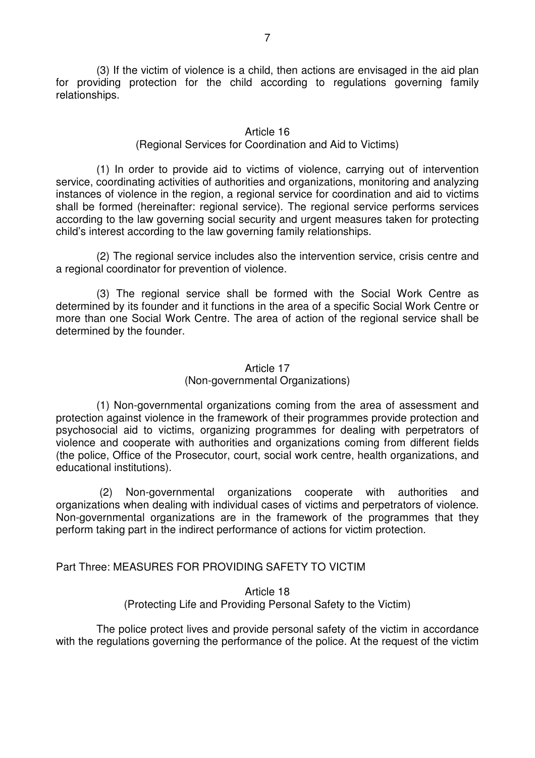(3) If the victim of violence is a child, then actions are envisaged in the aid plan for providing protection for the child according to regulations governing family relationships.

#### Article 16

### (Regional Services for Coordination and Aid to Victims)

 (1) In order to provide aid to victims of violence, carrying out of intervention service, coordinating activities of authorities and organizations, monitoring and analyzing instances of violence in the region, a regional service for coordination and aid to victims shall be formed (hereinafter: regional service). The regional service performs services according to the law governing social security and urgent measures taken for protecting child's interest according to the law governing family relationships.

 (2) The regional service includes also the intervention service, crisis centre and a regional coordinator for prevention of violence.

 (3) The regional service shall be formed with the Social Work Centre as determined by its founder and it functions in the area of a specific Social Work Centre or more than one Social Work Centre. The area of action of the regional service shall be determined by the founder.

## Article 17 (Non-governmental Organizations)

 (1) Non-governmental organizations coming from the area of assessment and protection against violence in the framework of their programmes provide protection and psychosocial aid to victims, organizing programmes for dealing with perpetrators of violence and cooperate with authorities and organizations coming from different fields (the police, Office of the Prosecutor, court, social work centre, health organizations, and educational institutions).

 (2) Non-governmental organizations cooperate with authorities and organizations when dealing with individual cases of victims and perpetrators of violence. Non-governmental organizations are in the framework of the programmes that they perform taking part in the indirect performance of actions for victim protection.

## Part Three: MEASURES FOR PROVIDING SAFETY TO VICTIM

#### Article 18 (Protecting Life and Providing Personal Safety to the Victim)

 The police protect lives and provide personal safety of the victim in accordance with the regulations governing the performance of the police. At the request of the victim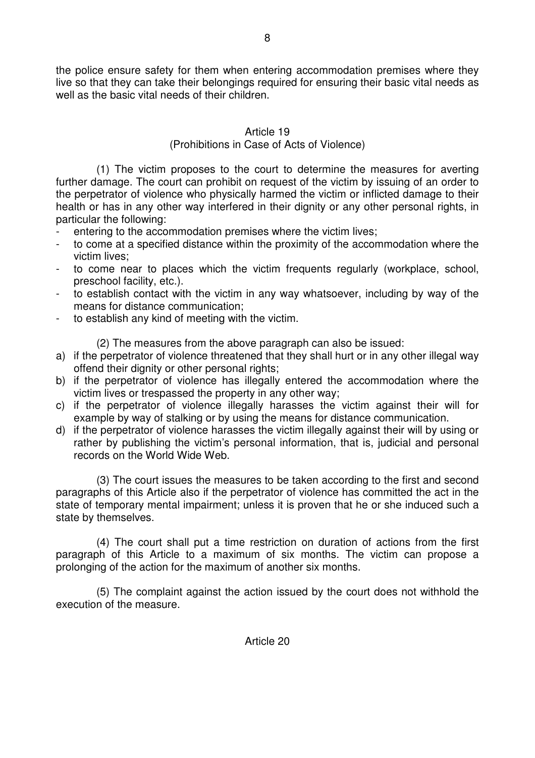the police ensure safety for them when entering accommodation premises where they live so that they can take their belongings required for ensuring their basic vital needs as well as the basic vital needs of their children.

## Article 19 (Prohibitions in Case of Acts of Violence)

 (1) The victim proposes to the court to determine the measures for averting further damage. The court can prohibit on request of the victim by issuing of an order to the perpetrator of violence who physically harmed the victim or inflicted damage to their health or has in any other way interfered in their dignity or any other personal rights, in particular the following:

- entering to the accommodation premises where the victim lives;
- to come at a specified distance within the proximity of the accommodation where the victim lives;
- to come near to places which the victim frequents regularly (workplace, school, preschool facility, etc.).
- to establish contact with the victim in any way whatsoever, including by way of the means for distance communication;
- to establish any kind of meeting with the victim.

(2) The measures from the above paragraph can also be issued:

- a) if the perpetrator of violence threatened that they shall hurt or in any other illegal way offend their dignity or other personal rights;
- b) if the perpetrator of violence has illegally entered the accommodation where the victim lives or trespassed the property in any other way;
- c) if the perpetrator of violence illegally harasses the victim against their will for example by way of stalking or by using the means for distance communication.
- d) if the perpetrator of violence harasses the victim illegally against their will by using or rather by publishing the victim's personal information, that is, judicial and personal records on the World Wide Web.

 (3) The court issues the measures to be taken according to the first and second paragraphs of this Article also if the perpetrator of violence has committed the act in the state of temporary mental impairment; unless it is proven that he or she induced such a state by themselves.

 (4) The court shall put a time restriction on duration of actions from the first paragraph of this Article to a maximum of six months. The victim can propose a prolonging of the action for the maximum of another six months.

 (5) The complaint against the action issued by the court does not withhold the execution of the measure.

Article 20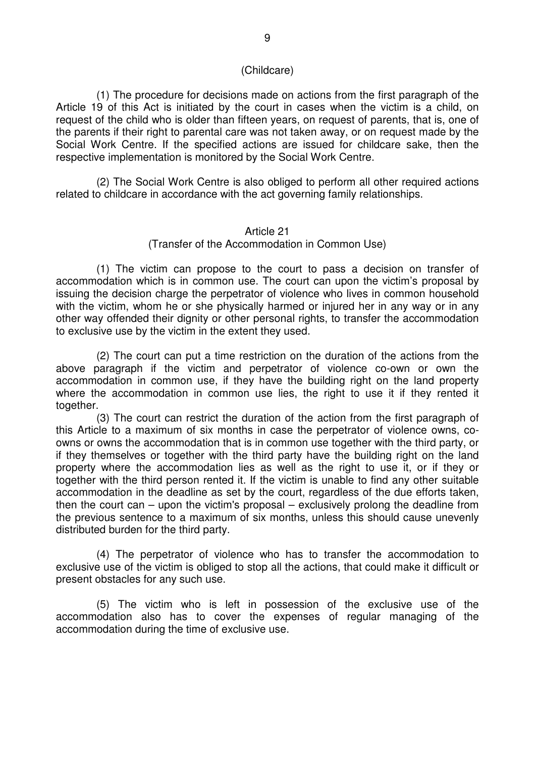#### (Childcare)

 (1) The procedure for decisions made on actions from the first paragraph of the Article 19 of this Act is initiated by the court in cases when the victim is a child, on request of the child who is older than fifteen years, on request of parents, that is, one of the parents if their right to parental care was not taken away, or on request made by the Social Work Centre. If the specified actions are issued for childcare sake, then the respective implementation is monitored by the Social Work Centre.

 (2) The Social Work Centre is also obliged to perform all other required actions related to childcare in accordance with the act governing family relationships.

#### Article 21

#### (Transfer of the Accommodation in Common Use)

 (1) The victim can propose to the court to pass a decision on transfer of accommodation which is in common use. The court can upon the victim's proposal by issuing the decision charge the perpetrator of violence who lives in common household with the victim, whom he or she physically harmed or injured her in any way or in any other way offended their dignity or other personal rights, to transfer the accommodation to exclusive use by the victim in the extent they used.

 (2) The court can put a time restriction on the duration of the actions from the above paragraph if the victim and perpetrator of violence co-own or own the accommodation in common use, if they have the building right on the land property where the accommodation in common use lies, the right to use it if they rented it together.

 (3) The court can restrict the duration of the action from the first paragraph of this Article to a maximum of six months in case the perpetrator of violence owns, coowns or owns the accommodation that is in common use together with the third party, or if they themselves or together with the third party have the building right on the land property where the accommodation lies as well as the right to use it, or if they or together with the third person rented it. If the victim is unable to find any other suitable accommodation in the deadline as set by the court, regardless of the due efforts taken, then the court can – upon the victim's proposal – exclusively prolong the deadline from the previous sentence to a maximum of six months, unless this should cause unevenly distributed burden for the third party.

 (4) The perpetrator of violence who has to transfer the accommodation to exclusive use of the victim is obliged to stop all the actions, that could make it difficult or present obstacles for any such use.

 (5) The victim who is left in possession of the exclusive use of the accommodation also has to cover the expenses of regular managing of the accommodation during the time of exclusive use.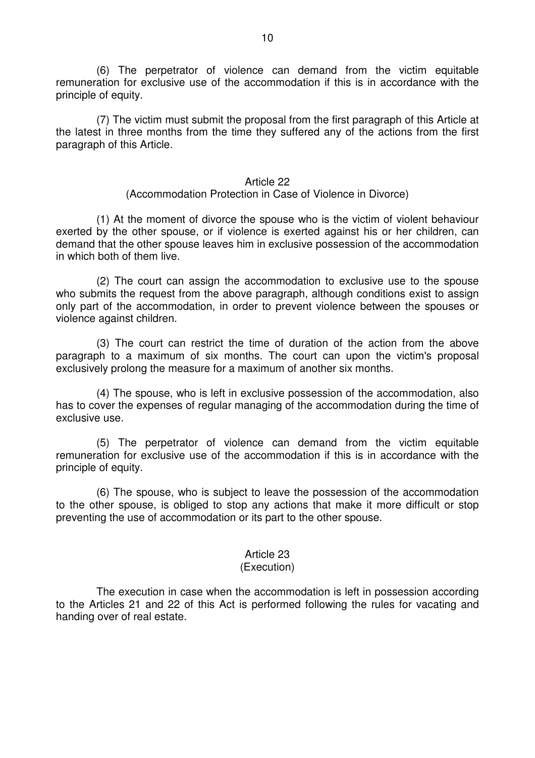(6) The perpetrator of violence can demand from the victim equitable remuneration for exclusive use of the accommodation if this is in accordance with the principle of equity.

 (7) The victim must submit the proposal from the first paragraph of this Article at the latest in three months from the time they suffered any of the actions from the first paragraph of this Article.

#### Article 22

#### (Accommodation Protection in Case of Violence in Divorce)

 (1) At the moment of divorce the spouse who is the victim of violent behaviour exerted by the other spouse, or if violence is exerted against his or her children, can demand that the other spouse leaves him in exclusive possession of the accommodation in which both of them live.

 (2) The court can assign the accommodation to exclusive use to the spouse who submits the request from the above paragraph, although conditions exist to assign only part of the accommodation, in order to prevent violence between the spouses or violence against children.

 (3) The court can restrict the time of duration of the action from the above paragraph to a maximum of six months. The court can upon the victim's proposal exclusively prolong the measure for a maximum of another six months.

 (4) The spouse, who is left in exclusive possession of the accommodation, also has to cover the expenses of regular managing of the accommodation during the time of exclusive use.

 (5) The perpetrator of violence can demand from the victim equitable remuneration for exclusive use of the accommodation if this is in accordance with the principle of equity.

 (6) The spouse, who is subject to leave the possession of the accommodation to the other spouse, is obliged to stop any actions that make it more difficult or stop preventing the use of accommodation or its part to the other spouse.

# Article 23

## (Execution)

 The execution in case when the accommodation is left in possession according to the Articles 21 and 22 of this Act is performed following the rules for vacating and handing over of real estate.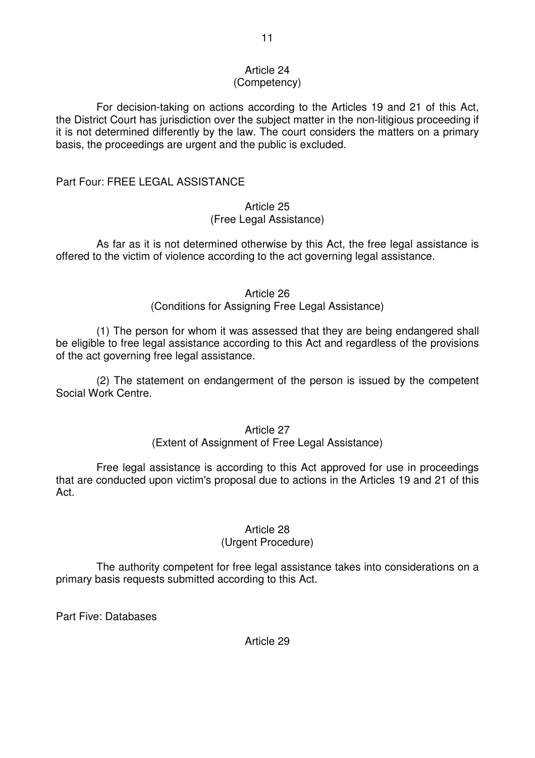## Article 24

## (Competency)

 For decision-taking on actions according to the Articles 19 and 21 of this Act, the District Court has jurisdiction over the subject matter in the non-litigious proceeding if it is not determined differently by the law. The court considers the matters on a primary basis, the proceedings are urgent and the public is excluded.

## Part Four: FREE LEGAL ASSISTANCE

## Article 25 (Free Legal Assistance)

 As far as it is not determined otherwise by this Act, the free legal assistance is offered to the victim of violence according to the act governing legal assistance.

## Article 26

(Conditions for Assigning Free Legal Assistance)

 (1) The person for whom it was assessed that they are being endangered shall be eligible to free legal assistance according to this Act and regardless of the provisions of the act governing free legal assistance.

 (2) The statement on endangerment of the person is issued by the competent Social Work Centre.

## Article 27

## (Extent of Assignment of Free Legal Assistance)

 Free legal assistance is according to this Act approved for use in proceedings that are conducted upon victim's proposal due to actions in the Articles 19 and 21 of this Act.

## Article 28

## (Urgent Procedure)

 The authority competent for free legal assistance takes into considerations on a primary basis requests submitted according to this Act.

Part Five: Databases

Article 29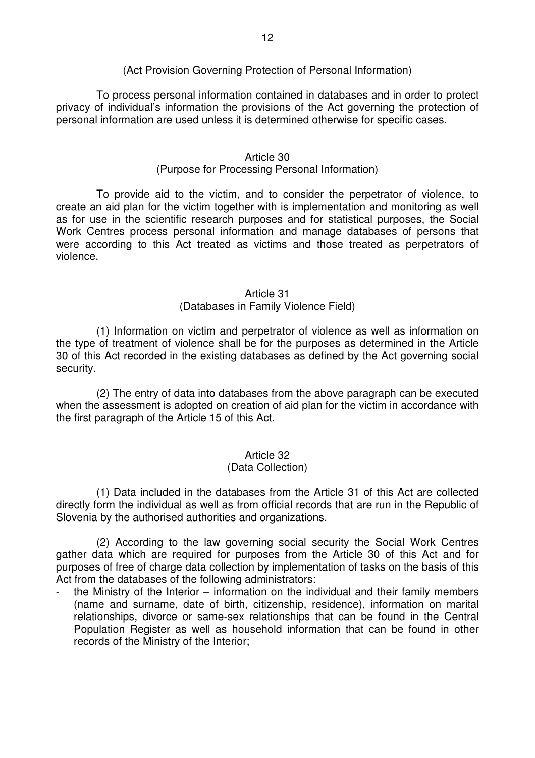## (Act Provision Governing Protection of Personal Information)

 To process personal information contained in databases and in order to protect privacy of individual's information the provisions of the Act governing the protection of personal information are used unless it is determined otherwise for specific cases.

#### Article 30

## (Purpose for Processing Personal Information)

 To provide aid to the victim, and to consider the perpetrator of violence, to create an aid plan for the victim together with is implementation and monitoring as well as for use in the scientific research purposes and for statistical purposes, the Social Work Centres process personal information and manage databases of persons that were according to this Act treated as victims and those treated as perpetrators of violence.

#### Article 31

## (Databases in Family Violence Field)

 (1) Information on victim and perpetrator of violence as well as information on the type of treatment of violence shall be for the purposes as determined in the Article 30 of this Act recorded in the existing databases as defined by the Act governing social security.

 (2) The entry of data into databases from the above paragraph can be executed when the assessment is adopted on creation of aid plan for the victim in accordance with the first paragraph of the Article 15 of this Act.

## Article 32

## (Data Collection)

 (1) Data included in the databases from the Article 31 of this Act are collected directly form the individual as well as from official records that are run in the Republic of Slovenia by the authorised authorities and organizations.

 (2) According to the law governing social security the Social Work Centres gather data which are required for purposes from the Article 30 of this Act and for purposes of free of charge data collection by implementation of tasks on the basis of this Act from the databases of the following administrators:

the Ministry of the Interior – information on the individual and their family members (name and surname, date of birth, citizenship, residence), information on marital relationships, divorce or same-sex relationships that can be found in the Central Population Register as well as household information that can be found in other records of the Ministry of the Interior;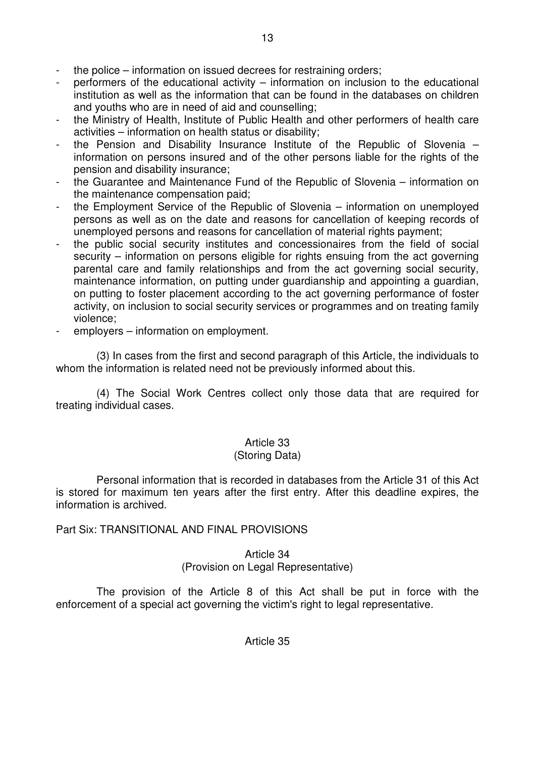- the police information on issued decrees for restraining orders;
- performers of the educational activity  $-$  information on inclusion to the educational institution as well as the information that can be found in the databases on children and youths who are in need of aid and counselling;
- the Ministry of Health, Institute of Public Health and other performers of health care activities – information on health status or disability;
- the Pension and Disability Insurance Institute of the Republic of Slovenia  $$ information on persons insured and of the other persons liable for the rights of the pension and disability insurance;
- the Guarantee and Maintenance Fund of the Republic of Slovenia information on the maintenance compensation paid;
- the Employment Service of the Republic of Slovenia information on unemployed persons as well as on the date and reasons for cancellation of keeping records of unemployed persons and reasons for cancellation of material rights payment;
- the public social security institutes and concessionaires from the field of social security – information on persons eligible for rights ensuing from the act governing parental care and family relationships and from the act governing social security, maintenance information, on putting under guardianship and appointing a guardian, on putting to foster placement according to the act governing performance of foster activity, on inclusion to social security services or programmes and on treating family violence;
- employers information on employment.

 (3) In cases from the first and second paragraph of this Article, the individuals to whom the information is related need not be previously informed about this.

 (4) The Social Work Centres collect only those data that are required for treating individual cases.

## Article 33

## (Storing Data)

 Personal information that is recorded in databases from the Article 31 of this Act is stored for maximum ten years after the first entry. After this deadline expires, the information is archived.

## Part Six: TRANSITIONAL AND FINAL PROVISIONS

## Article 34 (Provision on Legal Representative)

 The provision of the Article 8 of this Act shall be put in force with the enforcement of a special act governing the victim's right to legal representative.

13

Article 35